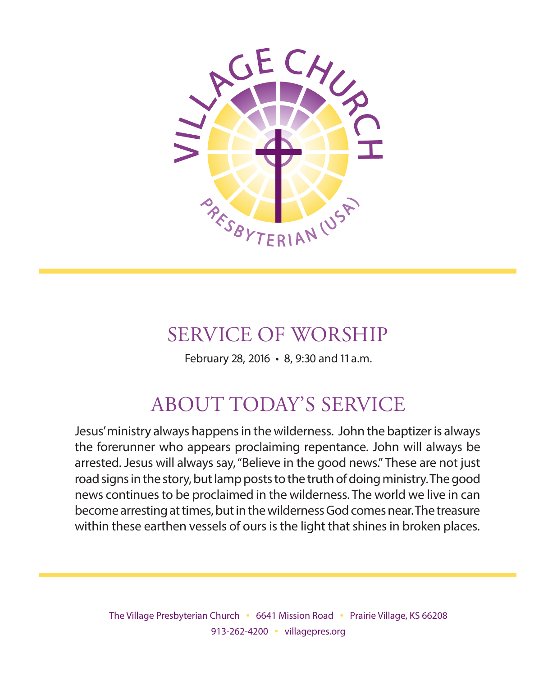

# SERVICE OF WORSHIP

February 28, 2016 • 8, 9:30 and 11 a.m.

# ABOUT TODAY'S SERVICE

Jesus' ministry always happens in the wilderness. John the baptizer is always the forerunner who appears proclaiming repentance. John will always be arrested. Jesus will always say, "Believe in the good news." These are not just road signs in the story, but lamp posts to the truth of doing ministry. The good news continues to be proclaimed in the wilderness. The world we live in can become arresting at times, but in the wilderness God comes near. The treasure within these earthen vessels of ours is the light that shines in broken places.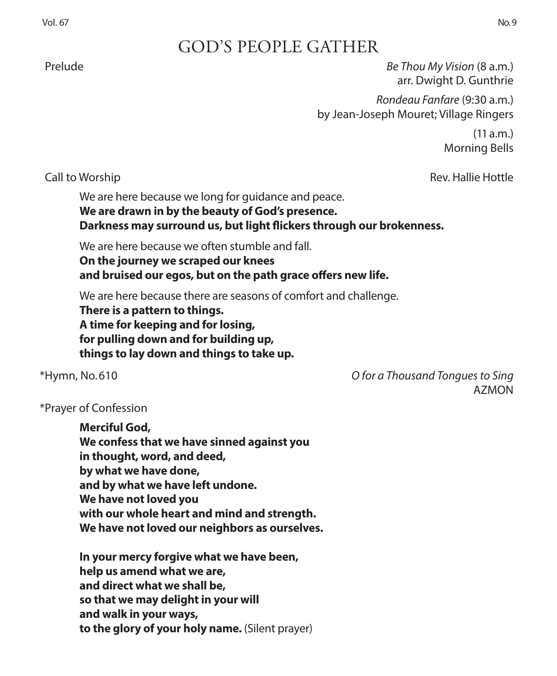# GOD'S PEOPLE GATHER

 Prelude *Be Thou My Vision* (8 a.m.) arr. Dwight D. Gunthrie

> *Rondeau Fanfare* (9:30 a.m.) by Jean-Joseph Mouret; Village Ringers

> > $(11 a.m.)$ Morning Bells

Call to Worship Rev. Hallie Hottle

We are here because we long for guidance and peace.

**We are drawn in by the beauty of God's presence. Darkness may surround us, but light flickers through our brokenness.**

We are here because we often stumble and fall.

**On the journey we scraped our knees and bruised our egos, but on the path grace offers new life.**

We are here because there are seasons of comfort and challenge.

**There is a pattern to things. A time for keeping and for losing, for pulling down and for building up, things to lay down and things to take up.**

\*Hymn, No. 610 *O for a Thousand Tongues to Sing*  AZMON

### \*Prayer of Confession

**Merciful God, We confess that we have sinned against you in thought, word, and deed, by what we have done, and by what we have left undone. We have not loved you with our whole heart and mind and strength. We have not loved our neighbors as ourselves.**

**In your mercy forgive what we have been, help us amend what we are, and direct what we shall be, so that we may delight in your will and walk in your ways, to the glory of your holy name.** (Silent prayer)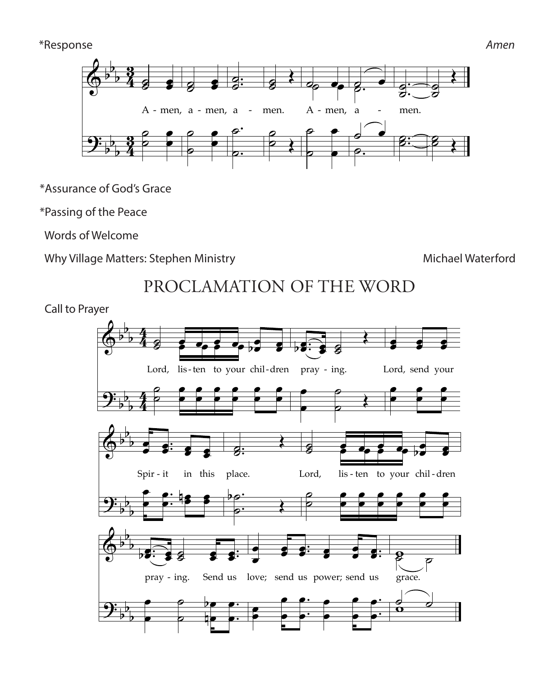#### \*Response *Amen*



\*Assurance of God's Grace of God's Grace your ˙ ˙

\*Passing of the Peace ? # ˙ he Pe ˙  $\epsilon$ 

words of Welcome

Why Village Matters: Stephen Ministry **Michael Waterford** Michael Waterford

#### PROCLAMATION OF THE WORD<br>ver PROCLAMATION OF THE WORD  $\overline{1}$ Œ

 Call to Prayer & b  $\mathbf{r}$ 

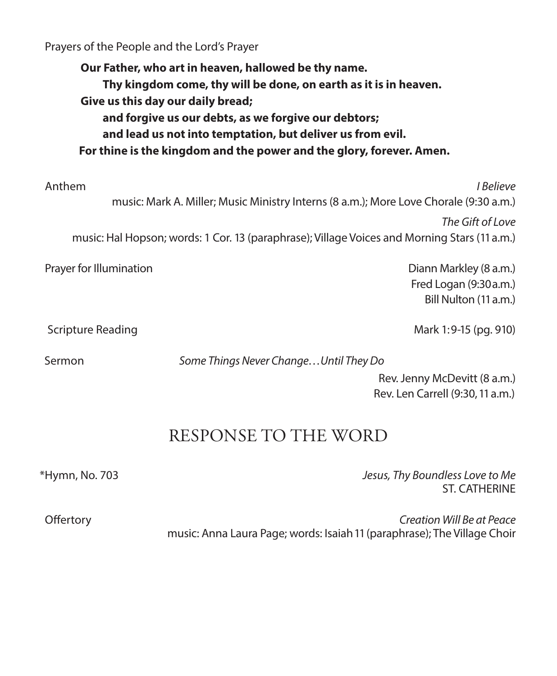Prayers of the People and the Lord's Prayer

**Our Father, who art in heaven, hallowed be thy name. Thy kingdom come, thy will be done, on earth as it is in heaven. Give us this day our daily bread; and forgive us our debts, as we forgive our debtors; and lead us not into temptation, but deliver us from evil. For thine is the kingdom and the power and the glory, forever. Amen.** Anthem *I Believe*  music: Mark A. Miller; Music Ministry Interns (8 a.m.); More Love Chorale (9:30 a.m.) *The Gift of Love*  music: Hal Hopson; words: 1 Cor. 13 (paraphrase); Village Voices and Morning Stars (11 a.m.) Prayer for Illumination **Diannal Accord Control** Dianna Markley (8 a.m.)

 Fred Logan (9:30 a.m.) Bill Nulton (11 a.m.)

Scripture Reading Mark 1:9-15 (pg. 910)

Sermon *Some Things Never Change…Until They Do* 

Rev. Jenny McDevitt (8 a.m.) Rev. Len Carrell (9:30, 11 a.m.)

# RESPONSE TO THE WORD

\*Hymn, No. 703 *Jesus, Thy Boundless Love to Me*  ST. CATHERINE

 Offertory *Creation Will Be at Peace* music: Anna Laura Page; words: Isaiah 11 (paraphrase); The Village Choir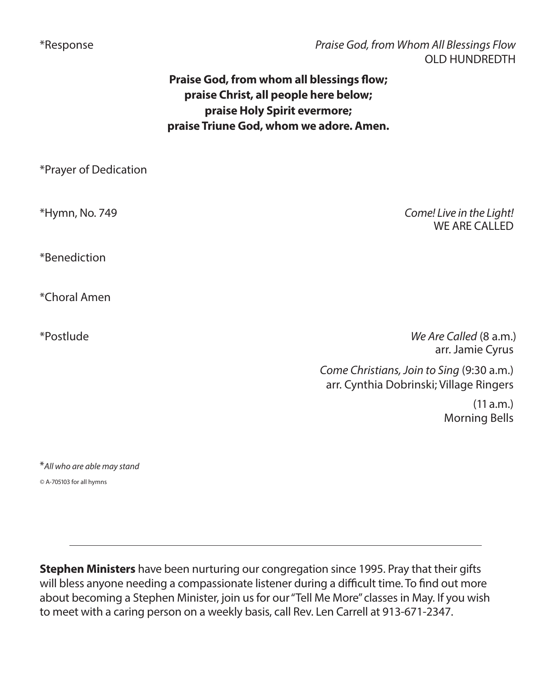\*Response *Praise God, from Whom All Blessings Flow*  OLD HUNDREDTH

## **Praise God, from whom all blessings flow; praise Christ, all people here below; praise Holy Spirit evermore; praise Triune God, whom we adore. Amen.**

| *Prayer of Dedication |                                                                                      |
|-----------------------|--------------------------------------------------------------------------------------|
| *Hymn, No. 749        | Come! Live in the Light!<br><b>WE ARE CALLED</b>                                     |
| *Benediction          |                                                                                      |
| *Choral Amen          |                                                                                      |
| *Postlude             | We Are Called (8 a.m.)<br>arr. Jamie Cyrus                                           |
|                       | Come Christians, Join to Sing (9:30 a.m.)<br>arr. Cynthia Dobrinski; Village Ringers |
|                       | (11 a.m.)<br><b>Morning Bells</b>                                                    |
|                       |                                                                                      |

\**All who are able may stand*

*©* A-705103 for all hymns

**Stephen Ministers** have been nurturing our congregation since 1995. Pray that their gifts will bless anyone needing a compassionate listener during a difficult time. To find out more about becoming a Stephen Minister, join us for our "Tell Me More" classes in May. If you wish to meet with a caring person on a weekly basis, call Rev. Len Carrell at 913-671-2347.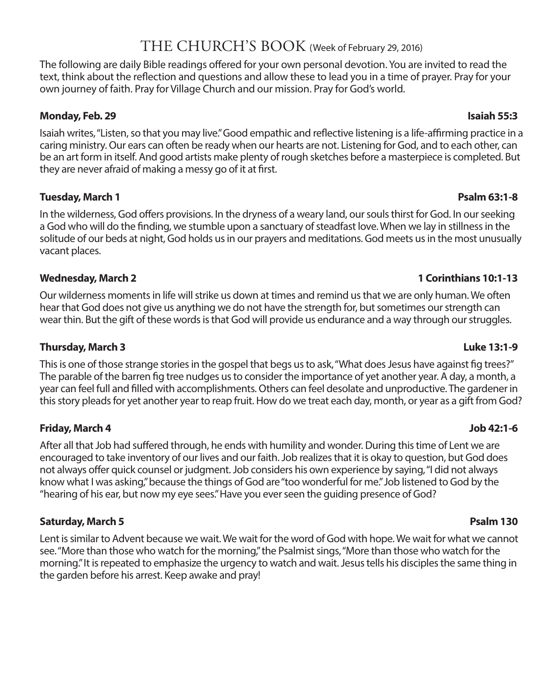## THE CHURCH'S BOOK (Week of February 29, 2016)

The following are daily Bible readings offered for your own personal devotion. You are invited to read the text, think about the reflection and questions and allow these to lead you in a time of prayer. Pray for your own journey of faith. Pray for Village Church and our mission. Pray for God's world.

#### **Monday, Feb. 29 Isaiah 55:3**

Isaiah writes, "Listen, so that you may live." Good empathic and reflective listening is a life-affirming practice in a caring ministry. Our ears can often be ready when our hearts are not. Listening for God, and to each other, can be an art form in itself. And good artists make plenty of rough sketches before a masterpiece is completed. But they are never afraid of making a messy go of it at first.

#### **Tuesday, March 1 Psalm 63:1-8**

In the wilderness, God offers provisions. In the dryness of a weary land, our souls thirst for God. In our seeking a God who will do the finding, we stumble upon a sanctuary of steadfast love. When we lay in stillness in the solitude of our beds at night, God holds us in our prayers and meditations. God meets us in the most unusually vacant places.

Our wilderness moments in life will strike us down at times and remind us that we are only human. We often hear that God does not give us anything we do not have the strength for, but sometimes our strength can wear thin. But the gift of these words is that God will provide us endurance and a way through our struggles.

### **Thursday, March 3 Luke 13:1-9**

This is one of those strange stories in the gospel that begs us to ask, "What does Jesus have against fig trees?" The parable of the barren fig tree nudges us to consider the importance of yet another year. A day, a month, a year can feel full and filled with accomplishments. Others can feel desolate and unproductive. The gardener in this story pleads for yet another year to reap fruit. How do we treat each day, month, or year as a gift from God?

### **Friday, March 4 Job 42:1-6**

After all that Job had suffered through, he ends with humility and wonder. During this time of Lent we are encouraged to take inventory of our lives and our faith. Job realizes that it is okay to question, but God does not always offer quick counsel or judgment. Job considers his own experience by saying, "I did not always know what I was asking," because the things of God are "too wonderful for me." Job listened to God by the "hearing of his ear, but now my eye sees." Have you ever seen the guiding presence of God?

### **Saturday, March 5 Psalm 130**

Lent is similar to Advent because we wait. We wait for the word of God with hope. We wait for what we cannot see. "More than those who watch for the morning," the Psalmist sings, "More than those who watch for the morning." It is repeated to emphasize the urgency to watch and wait. Jesus tells his disciples the same thing in the garden before his arrest. Keep awake and pray!

### **Wednesday, March 2 1 Corinthians 10:1-13**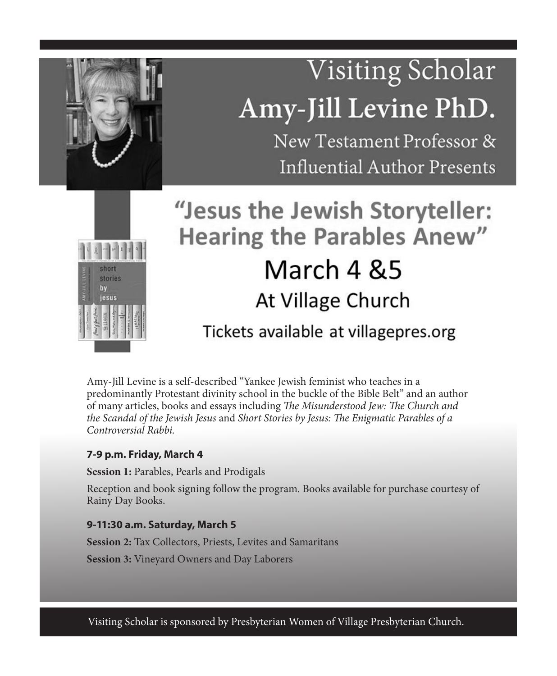# Visiting Scholar Amy-Jill Levine PhD.

New Testament Professor & Influential Author Presents



# "Jesus the Jewish Storyteller: **Hearing the Parables Anew"** March 4 & 5 At Village Church

# Tickets available at villagepres.org

Amy-Jill Levine is a self-described "Yankee Jewish feminist who teaches in a predominantly Protestant divinity school in the buckle of the Bible Belt" and an author of many articles, books and essays including *The Misunderstood Jew: The Church and the Scandal of the Jewish Jesus* and *Short Stories by Jesus: The Enigmatic Parables of a Controversial Rabbi.*

### **7-9 p.m. Friday, March 4**

**Session 1:** Parables, Pearls and Prodigals

Reception and book signing follow the program. Books available for purchase courtesy of Rainy Day Books.

#### **9-11:30 a.m. Saturday, March 5**

**Session 2:** Tax Collectors, Priests, Levites and Samaritans **Session 3:** Vineyard Owners and Day Laborers

Visiting Scholar is sponsored by Presbyterian Women of Village Presbyterian Church.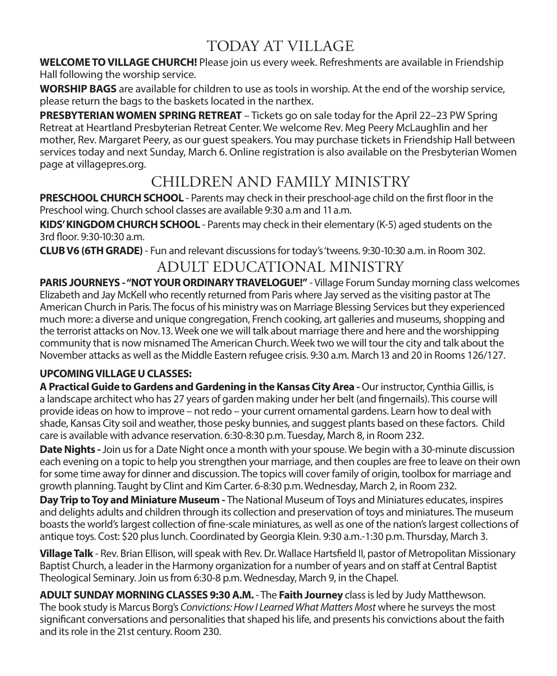# TODAY AT VILLAGE

**WELCOME TO VILLAGE CHURCH!** Please join us every week. Refreshments are available in Friendship Hall following the worship service.

**WORSHIP BAGS** are available for children to use as tools in worship. At the end of the worship service, please return the bags to the baskets located in the narthex.

**PRESBYTERIAN WOMEN SPRING RETREAT** – Tickets go on sale today for the April 22–23 PW Spring Retreat at Heartland Presbyterian Retreat Center. We welcome Rev. Meg Peery McLaughlin and her mother, Rev. Margaret Peery, as our guest speakers. You may purchase tickets in Friendship Hall between services today and next Sunday, March 6. Online registration is also available on the Presbyterian Women page at villagepres.org.

# CHILDREN AND FAMILY MINISTRY

**PRESCHOOL CHURCH SCHOOL** - Parents may check in their preschool-age child on the first floor in the Preschool wing. Church school classes are available 9:30 a.m and 11 a.m.

**KIDS' KINGDOM CHURCH SCHOOL** - Parents may check in their elementary (K-5) aged students on the 3rd floor. 9:30-10:30 a.m.

**CLUB V6 (6TH GRADE)** - Fun and relevant discussions for today's 'tweens. 9:30-10:30 a.m. in Room 302.

# ADULT EDUCATIONAL MINISTRY

**PARIS JOURNEYS - "NOT YOUR ORDINARY TRAVELOGUE!"** - Village Forum Sunday morning class welcomes Elizabeth and Jay McKell who recently returned from Paris where Jay served as the visiting pastor at The American Church in Paris. The focus of his ministry was on Marriage Blessing Services but they experienced much more: a diverse and unique congregation, French cooking, art galleries and museums, shopping and the terrorist attacks on Nov. 13. Week one we will talk about marriage there and here and the worshipping community that is now misnamed The American Church. Week two we will tour the city and talk about the November attacks as well as the Middle Eastern refugee crisis. 9:30 a.m. March 13 and 20 in Rooms 126/127.

### **UPCOMING VILLAGE U CLASSES:**

**A Practical Guide to Gardens and Gardening in the Kansas City Area -** Our instructor, Cynthia Gillis, is a landscape architect who has 27 years of garden making under her belt (and fingernails). This course will provide ideas on how to improve – not redo – your current ornamental gardens. Learn how to deal with shade, Kansas City soil and weather, those pesky bunnies, and suggest plants based on these factors. Child care is available with advance reservation. 6:30-8:30 p.m. Tuesday, March 8, in Room 232.

**Date Nights -** Join us for a Date Night once a month with your spouse. We begin with a 30-minute discussion each evening on a topic to help you strengthen your marriage, and then couples are free to leave on their own for some time away for dinner and discussion. The topics will cover family of origin, toolbox for marriage and growth planning. Taught by Clint and Kim Carter. 6-8:30 p.m. Wednesday, March 2, in Room 232.

**Day Trip to Toy and Miniature Museum -** The National Museum of Toys and Miniatures educates, inspires and delights adults and children through its collection and preservation of toys and miniatures. The museum boasts the world's largest collection of fine-scale miniatures, as well as one of the nation's largest collections of antique toys. Cost: \$20 plus lunch. Coordinated by Georgia Klein. 9:30 a.m.-1:30 p.m. Thursday, March 3.

**Village Talk** - Rev. Brian Ellison, will speak with Rev. Dr. Wallace Hartsfield II, pastor of Metropolitan Missionary Baptist Church, a leader in the Harmony organization for a number of years and on staff at Central Baptist Theological Seminary. Join us from 6:30-8 p.m. Wednesday, March 9, in the Chapel.

**ADULT SUNDAY MORNING CLASSES 9:30 A.M.** - The **Faith Journey** class is led by Judy Matthewson. The book study is Marcus Borg's *Convictions: How I Learned What Matters Most* where he surveys the most significant conversations and personalities that shaped his life, and presents his convictions about the faith and its role in the 21st century. Room 230.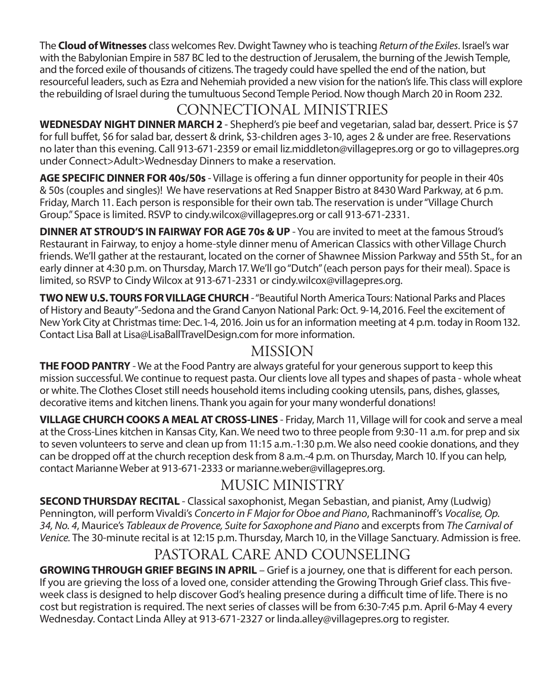The **Cloud of Witnesses** class welcomes Rev. Dwight Tawney who is teaching *Return of the Exiles*. Israel's war with the Babylonian Empire in 587 BC led to the destruction of Jerusalem, the burning of the Jewish Temple, and the forced exile of thousands of citizens. The tragedy could have spelled the end of the nation, but resourceful leaders, such as Ezra and Nehemiah provided a new vision for the nation's life. This class will explore the rebuilding of Israel during the tumultuous Second Temple Period. Now though March 20 in Room 232.

# CONNECTIONAL MINISTRIES

WEDNESDAY NIGHT DINNER MARCH 2 - Shepherd's pie beef and vegetarian, salad bar, dessert. Price is \$7 for full buffet, \$6 for salad bar, dessert & drink, \$3-children ages 3-10, ages 2 & under are free. Reservations no later than this evening. Call 913-671-2359 or email liz.middleton@villagepres.org or go to villagepres.org under Connect>Adult>Wednesday Dinners to make a reservation.

**AGE SPECIFIC DINNER FOR 40s/50s** - Village is offering a fun dinner opportunity for people in their 40s & 50s (couples and singles)! We have reservations at Red Snapper Bistro at 8430 Ward Parkway, at 6 p.m. Friday, March 11. Each person is responsible for their own tab. The reservation is under "Village Church Group." Space is limited. RSVP to cindy.wilcox@villagepres.org or call 913-671-2331.

**DINNER AT STROUD'S IN FAIRWAY FOR AGE 70s & UP** - You are invited to meet at the famous Stroud's Restaurant in Fairway, to enjoy a home-style dinner menu of American Classics with other Village Church friends. We'll gather at the restaurant, located on the corner of Shawnee Mission Parkway and 55th St., for an early dinner at 4:30 p.m. on Thursday, March 17. We'll go "Dutch" (each person pays for their meal). Space is limited, so RSVP to Cindy Wilcox at 913-671-2331 or cindy.wilcox@villagepres.org.

**TWO NEW U.S. TOURS FOR VILLAGE CHURCH** - "Beautiful North America Tours: National Parks and Places of History and Beauty"-Sedona and the Grand Canyon National Park: Oct. 9-14, 2016. Feel the excitement of New York City at Christmas time: Dec. 1-4, 2016. Join us for an information meeting at 4 p.m. today in Room 132. Contact Lisa Ball at Lisa@LisaBallTravelDesign.com for more information.

# MISSION

**THE FOOD PANTRY** - We at the Food Pantry are always grateful for your generous support to keep this mission successful. We continue to request pasta. Our clients love all types and shapes of pasta - whole wheat or white. The Clothes Closet still needs household items including cooking utensils, pans, dishes, glasses, decorative items and kitchen linens. Thank you again for your many wonderful donations!

**VILLAGE CHURCH COOKS A MEAL AT CROSS-LINES** - Friday, March 11, Village will for cook and serve a meal at the Cross-Lines kitchen in Kansas City, Kan. We need two to three people from 9:30-11 a.m. for prep and six to seven volunteers to serve and clean up from 11:15 a.m.-1:30 p.m. We also need cookie donations, and they can be dropped off at the church reception desk from 8 a.m.-4 p.m. on Thursday, March 10. If you can help, contact Marianne Weber at 913-671-2333 or marianne.weber@villagepres.org.

# MUSIC MINISTRY

**SECOND THURSDAY RECITAL** - Classical saxophonist, Megan Sebastian, and pianist, Amy (Ludwig) Pennington, will perform Vivaldi's *Concerto in F Major for Oboe and Piano*, Rachmaninoff's *Vocalise, Op. 34, No. 4*, Maurice's *Tableaux de Provence, Suite for Saxophone and Piano* and excerpts from *The Carnival of Venice.* The 30-minute recital is at 12:15 p.m. Thursday, March 10, in the Village Sanctuary. Admission is free.

# PASTORAL CARE AND COUNSELING

**GROWING THROUGH GRIEF BEGINS IN APRIL** – Grief is a journey, one that is different for each person. If you are grieving the loss of a loved one, consider attending the Growing Through Grief class. This fiveweek class is designed to help discover God's healing presence during a difficult time of life. There is no cost but registration is required. The next series of classes will be from 6:30-7:45 p.m. April 6-May 4 every Wednesday. Contact Linda Alley at 913-671-2327 or linda.alley@villagepres.org to register.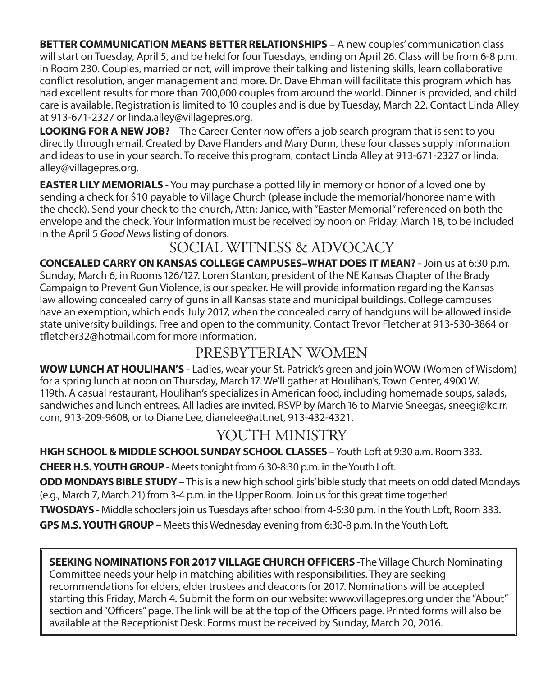**BETTER COMMUNICATION MEANS BETTER RELATIONSHIPS** – A new couples' communication class will start on Tuesday, April 5, and be held for four Tuesdays, ending on April 26. Class will be from 6-8 p.m. in Room 230. Couples, married or not, will improve their talking and listening skills, learn collaborative conflict resolution, anger management and more. Dr. Dave Ehman will facilitate this program which has had excellent results for more than 700,000 couples from around the world. Dinner is provided, and child care is available. Registration is limited to 10 couples and is due by Tuesday, March 22. Contact Linda Alley at 913-671-2327 or linda.alley@villagepres.org.

**LOOKING FOR A NEW JOB?** – The Career Center now offers a job search program that is sent to you directly through email. Created by Dave Flanders and Mary Dunn, these four classes supply information and ideas to use in your search. To receive this program, contact Linda Alley at 913-671-2327 or linda. alley@villagepres.org.

**EASTER LILY MEMORIALS** - You may purchase a potted lily in memory or honor of a loved one by sending a check for \$10 payable to Village Church (please include the memorial/honoree name with the check). Send your check to the church, Attn: Janice, with "Easter Memorial" referenced on both the envelope and the check. Your information must be received by noon on Friday, March 18, to be included in the April 5 *Good News* listing of donors.

# SOCIAL WITNESS & ADVOCACY

**CONCEALED CARRY ON KANSAS COLLEGE CAMPUSES–WHAT DOES IT MEAN?** - Join us at 6:30 p.m. Sunday, March 6, in Rooms 126/127. Loren Stanton, president of the NE Kansas Chapter of the Brady Campaign to Prevent Gun Violence, is our speaker. He will provide information regarding the Kansas law allowing concealed carry of guns in all Kansas state and municipal buildings. College campuses have an exemption, which ends July 2017, when the concealed carry of handguns will be allowed inside state university buildings. Free and open to the community. Contact Trevor Fletcher at 913-530-3864 or tfletcher32@hotmail.com for more information.

# PRESBYTERIAN WOMEN

**WOW LUNCH AT HOULIHAN'S** - Ladies, wear your St. Patrick's green and join WOW (Women of Wisdom) for a spring lunch at noon on Thursday, March 17. We'll gather at Houlihan's, Town Center, 4900 W. 119th. A casual restaurant, Houlihan's specializes in American food, including homemade soups, salads, sandwiches and lunch entrees. All ladies are invited. RSVP by March 16 to Marvie Sneegas, sneegi@kc.rr. com, 913-209-9608, or to Diane Lee, dianelee@att.net, 913-432-4321.

# YOUTH MINISTRY

**HIGH SCHOOL & MIDDLE SCHOOL SUNDAY SCHOOL CLASSES** – Youth Loft at 9:30 a.m. Room 333.

**CHEER H.S. YOUTH GROUP** - Meets tonight from 6:30-8:30 p.m. in the Youth Loft.

**ODD MONDAYS BIBLE STUDY** – This is a new high school girls' bible study that meets on odd dated Mondays (e.g., March 7, March 21) from 3-4 p.m. in the Upper Room. Join us for this great time together!

**TWOSDAYS** - Middle schoolers join us Tuesdays after school from 4-5:30 p.m. in the Youth Loft, Room 333.

**GPS M.S. YOUTH GROUP –** Meets this Wednesday evening from 6:30-8 p.m. In the Youth Loft.

**SEEKING NOMINATIONS FOR 2017 VILLAGE CHURCH OFFICERS** -The Village Church Nominating Committee needs your help in matching abilities with responsibilities. They are seeking recommendations for elders, elder trustees and deacons for 2017. Nominations will be accepted starting this Friday, March 4. Submit the form on our website: www.villagepres.org under the "About" section and "Officers" page. The link will be at the top of the Officers page. Printed forms will also be available at the Receptionist Desk. Forms must be received by Sunday, March 20, 2016.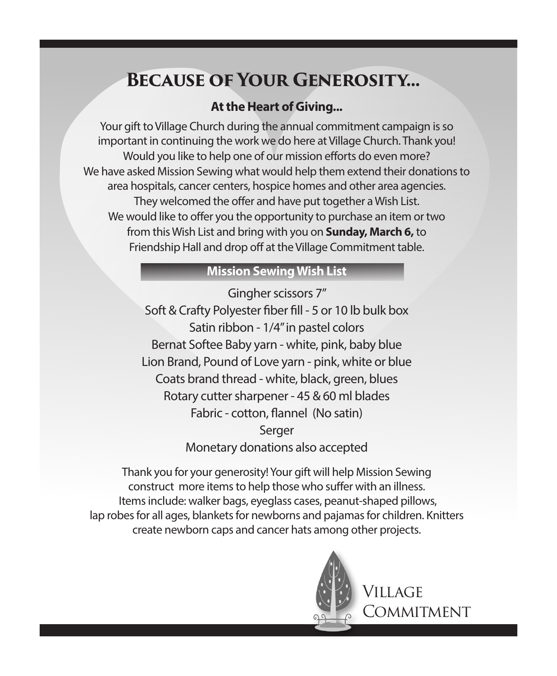# **Because of Your Generosity...**

## **At the Heart of Giving...**

Your gift to Village Church during the annual commitment campaign is so important in continuing the work we do here at Village Church. Thank you! Would you like to help one of our mission efforts do even more? We have asked Mission Sewing what would help them extend their donations to area hospitals, cancer centers, hospice homes and other area agencies. They welcomed the offer and have put together a Wish List. We would like to offer you the opportunity to purchase an item or two from this Wish List and bring with you on **Sunday, March 6,** to Friendship Hall and drop off at the Village Commitment table.

### **Mission Sewing Wish List**

Gingher scissors 7" Soft & Crafty Polyester fiber fill - 5 or 10 lb bulk box Satin ribbon - 1/4" in pastel colors Bernat Softee Baby yarn - white, pink, baby blue Lion Brand, Pound of Love yarn - pink, white or blue Coats brand thread - white, black, green, blues Rotary cutter sharpener - 45 & 60 ml blades Fabric - cotton, flannel (No satin) Serger Monetary donations also accepted

Thank you for your generosity! Your gift will help Mission Sewing construct more items to help those who suffer with an illness. Items include: walker bags, eyeglass cases, peanut-shaped pillows, lap robes for all ages, blankets for newborns and pajamas for children. Knitters create newborn caps and cancer hats among other projects.



Village **COMMITMENT**